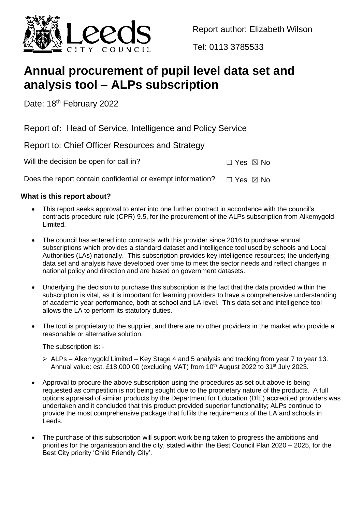

Report author: Elizabeth Wilson

Tel: 0113 3785533

# **Annual procurement of pupil level data set and analysis tool – ALPs subscription**

Date: 18<sup>th</sup> February 2022

Report of**:** Head of Service, Intelligence and Policy Service

Report to: Chief Officer Resources and Strategy

Will the decision be open for call in?  $\Box$  Yes  $\boxtimes$  No

Does the report contain confidential or exempt information?  $\Box$  Yes  $\boxtimes$  No

## **What is this report about?**

- This report seeks approval to enter into one further contract in accordance with the council's contracts procedure rule (CPR) 9.5, for the procurement of the ALPs subscription from Alkemygold Limited.
- The council has entered into contracts with this provider since 2016 to purchase annual subscriptions which provides a standard dataset and intelligence tool used by schools and Local Authorities (LAs) nationally. This subscription provides key intelligence resources; the underlying data set and analysis have developed over time to meet the sector needs and reflect changes in national policy and direction and are based on government datasets.
- Underlying the decision to purchase this subscription is the fact that the data provided within the subscription is vital, as it is important for learning providers to have a comprehensive understanding of academic year performance, both at school and LA level. This data set and intelligence tool allows the LA to perform its statutory duties.
- The tool is proprietary to the supplier, and there are no other providers in the market who provide a reasonable or alternative solution.

The subscription is: -

- ALPs Alkemygold Limited Key Stage 4 and 5 analysis and tracking from year 7 to year 13. Annual value: est. £18,000.00 (excluding VAT) from 10<sup>th</sup> August 2022 to 31<sup>st</sup> July 2023.
- Approval to procure the above subscription using the procedures as set out above is being requested as competition is not being sought due to the proprietary nature of the products. A full options appraisal of similar products by the Department for Education (DfE) accredited providers was undertaken and it concluded that this product provided superior functionality; ALPs continue to provide the most comprehensive package that fulfils the requirements of the LA and schools in Leeds.
- The purchase of this subscription will support work being taken to progress the ambitions and priorities for the organisation and the city, stated within the Best Council Plan 2020 – 2025, for the Best City priority 'Child Friendly City'.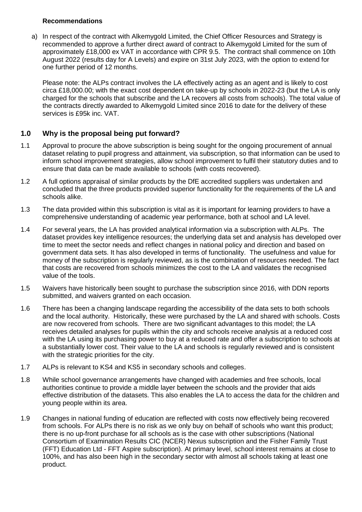#### **Recommendations**

a) In respect of the contract with Alkemygold Limited, the Chief Officer Resources and Strategy is recommended to approve a further direct award of contract to Alkemygold Limited for the sum of approximately £18,000 ex VAT in accordance with CPR 9.5. The contract shall commence on 10th August 2022 (results day for A Levels) and expire on 31st July 2023, with the option to extend for one further period of 12 months.

Please note: the ALPs contract involves the LA effectively acting as an agent and is likely to cost circa £18,000.00; with the exact cost dependent on take-up by schools in 2022-23 (but the LA is only charged for the schools that subscribe and the LA recovers all costs from schools). The total value of the contracts directly awarded to Alkemygold Limited since 2016 to date for the delivery of these services is £95k inc. VAT.

## **1.0 Why is the proposal being put forward?**

- 1.1 Approval to procure the above subscription is being sought for the ongoing procurement of annual dataset relating to pupil progress and attainment, via subscription, so that information can be used to inform school improvement strategies, allow school improvement to fulfil their statutory duties and to ensure that data can be made available to schools (with costs recovered).
- 1.2 A full options appraisal of similar products by the DfE accredited suppliers was undertaken and concluded that the three products provided superior functionality for the requirements of the LA and schools alike.
- 1.3 The data provided within this subscription is vital as it is important for learning providers to have a comprehensive understanding of academic year performance, both at school and LA level.
- 1.4 For several years, the LA has provided analytical information via a subscription with ALPs. The dataset provides key intelligence resources; the underlying data set and analysis has developed over time to meet the sector needs and reflect changes in national policy and direction and based on government data sets. It has also developed in terms of functionality. The usefulness and value for money of the subscription is regularly reviewed, as is the combination of resources needed. The fact that costs are recovered from schools minimizes the cost to the LA and validates the recognised value of the tools.
- 1.5 Waivers have historically been sought to purchase the subscription since 2016, with DDN reports submitted, and waivers granted on each occasion.
- 1.6 There has been a changing landscape regarding the accessibility of the data sets to both schools and the local authority. Historically, these were purchased by the LA and shared with schools. Costs are now recovered from schools. There are two significant advantages to this model; the LA receives detailed analyses for pupils within the city and schools receive analysis at a reduced cost with the LA using its purchasing power to buy at a reduced rate and offer a subscription to schools at a substantially lower cost. Their value to the LA and schools is regularly reviewed and is consistent with the strategic priorities for the city.
- 1.7 ALPs is relevant to KS4 and KS5 in secondary schools and colleges.
- 1.8 While school governance arrangements have changed with academies and free schools, local authorities continue to provide a middle layer between the schools and the provider that aids effective distribution of the datasets. This also enables the LA to access the data for the children and young people within its area.
- 1.9 Changes in national funding of education are reflected with costs now effectively being recovered from schools. For ALPs there is no risk as we only buy on behalf of schools who want this product; there is no up-front purchase for all schools as is the case with other subscriptions (National Consortium of Examination Results CIC (NCER) Nexus subscription and the Fisher Family Trust (FFT) Education Ltd - FFT Aspire subscription). At primary level, school interest remains at close to 100%, and has also been high in the secondary sector with almost all schools taking at least one product.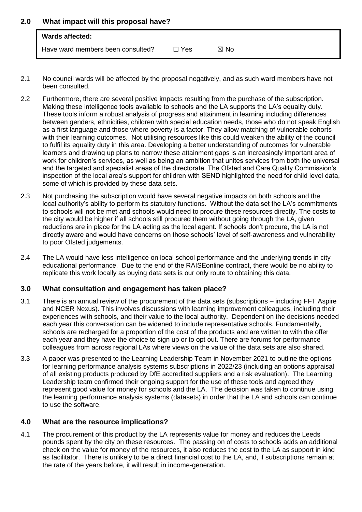### **2.0 What impact will this proposal have?**

| Wards affected:                   |            |      |  |
|-----------------------------------|------------|------|--|
| Have ward members been consulted? | $\Box$ Yes | ⊠ No |  |

- 2.1 No council wards will be affected by the proposal negatively, and as such ward members have not been consulted.
- 2.2 Furthermore, there are several positive impacts resulting from the purchase of the subscription. Making these intelligence tools available to schools and the LA supports the LA's equality duty. These tools inform a robust analysis of progress and attainment in learning including differences between genders, ethnicities, children with special education needs, those who do not speak English as a first language and those where poverty is a factor. They allow matching of vulnerable cohorts with their learning outcomes. Not utilising resources like this could weaken the ability of the council to fulfil its equality duty in this area. Developing a better understanding of outcomes for vulnerable learners and drawing up plans to narrow these attainment gaps is an increasingly important area of work for children's services, as well as being an ambition that unites services from both the universal and the targeted and specialist areas of the directorate. The Ofsted and Care Quality Commission's inspection of the local area's support for children with SEND highlighted the need for child level data, some of which is provided by these data sets.
- 2.3 Not purchasing the subscription would have several negative impacts on both schools and the local authority's ability to perform its statutory functions. Without the data set the LA's commitments to schools will not be met and schools would need to procure these resources directly. The costs to the city would be higher if all schools still procured them without going through the LA, given reductions are in place for the LA acting as the local agent. If schools don't procure, the LA is not directly aware and would have concerns on those schools' level of self-awareness and vulnerability to poor Ofsted judgements.
- 2.4 The LA would have less intelligence on local school performance and the underlying trends in city educational performance. Due to the end of the RAISEonline contract, there would be no ability to replicate this work locally as buying data sets is our only route to obtaining this data.

#### **3.0 What consultation and engagement has taken place?**

- 3.1 There is an annual review of the procurement of the data sets (subscriptions including FFT Aspire and NCER Nexus). This involves discussions with learning improvement colleagues, including their experiences with schools, and their value to the local authority. Dependent on the decisions needed each year this conversation can be widened to include representative schools. Fundamentally, schools are recharged for a proportion of the cost of the products and are written to with the offer each year and they have the choice to sign up or to opt out. There are forums for performance colleagues from across regional LAs where views on the value of the data sets are also shared.
- 3.3 A paper was presented to the Learning Leadership Team in November 2021 to outline the options for learning performance analysis systems subscriptions in 2022/23 (including an options appraisal of all existing products produced by DfE accredited suppliers and a risk evaluation). The Learning Leadership team confirmed their ongoing support for the use of these tools and agreed they represent good value for money for schools and the LA. The decision was taken to continue using the learning performance analysis systems (datasets) in order that the LA and schools can continue to use the software.

## **4.0 What are the resource implications?**

4.1 The procurement of this product by the LA represents value for money and reduces the Leeds pounds spent by the city on these resources. The passing on of costs to schools adds an additional check on the value for money of the resources, it also reduces the cost to the LA as support in kind as facilitator. There is unlikely to be a direct financial cost to the LA, and, if subscriptions remain at the rate of the years before, it will result in income-generation.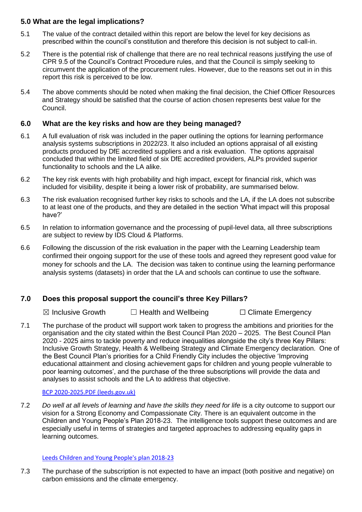## **5.0 What are the legal implications?**

- 5.1 The value of the contract detailed within this report are below the level for key decisions as prescribed within the council's constitution and therefore this decision is not subject to call-in.
- 5.2 There is the potential risk of challenge that there are no real technical reasons justifying the use of CPR 9.5 of the Council's Contract Procedure rules, and that the Council is simply seeking to circumvent the application of the procurement rules. However, due to the reasons set out in in this report this risk is perceived to be low.
- 5.4 The above comments should be noted when making the final decision, the Chief Officer Resources and Strategy should be satisfied that the course of action chosen represents best value for the Council.

## **6.0 What are the key risks and how are they being managed?**

- 6.1 A full evaluation of risk was included in the paper outlining the options for learning performance analysis systems subscriptions in 2022/23. It also included an options appraisal of all existing products produced by DfE accredited suppliers and a risk evaluation. The options appraisal concluded that within the limited field of six DfE accredited providers, ALPs provided superior functionality to schools and the LA alike.
- 6.2 The key risk events with high probability and high impact, except for financial risk, which was included for visibility, despite it being a lower risk of probability, are summarised below.
- 6.3 The risk evaluation recognised further key risks to schools and the LA, if the LA does not subscribe to at least one of the products, and they are detailed in the section 'What impact will this proposal have?'
- 6.5 In relation to information governance and the processing of pupil-level data, all three subscriptions are subject to review by IDS Cloud & Platforms.
- 6.6 Following the discussion of the risk evaluation in the paper with the Learning Leadership team confirmed their ongoing support for the use of these tools and agreed they represent good value for money for schools and the LA. The decision was taken to continue using the learning performance analysis systems (datasets) in order that the LA and schools can continue to use the software.

## **7.0 Does this proposal support the council's three Key Pillars?**

**⊠** Inclusive Growth □ Health and Wellbeing □ Climate Emergency

7.1 The purchase of the product will support work taken to progress the ambitions and priorities for the organisation and the city stated within the Best Council Plan 2020 – 2025. The Best Council Plan 2020 - 2025 aims to tackle poverty and reduce inequalities alongside the city's three Key Pillars: Inclusive Growth Strategy, Health & Wellbeing Strategy and Climate Emergency declaration. One of the Best Council Plan's priorities for a Child Friendly City includes the objective 'Improving educational attainment and closing achievement gaps for children and young people vulnerable to poor learning outcomes', and the purchase of the three subscriptions will provide the data and analyses to assist schools and the LA to address that objective.

## [BCP 2020-2025.PDF \(leeds.gov.uk\)](https://www.leeds.gov.uk/docs/BCP%202020-2025.PDF)

7.2 *Do well at all levels of learning and have the skills they need for life* is a city outcome to support our vision for a Strong Economy and Compassionate City. There is an equivalent outcome in the Children and Young People's Plan 2018-23. The intelligence tools support these outcomes and are especially useful in terms of strategies and targeted approaches to addressing equality gaps in learning outcomes.

## [Leeds Children and Young People's plan 2018-23](https://insite.leeds.gov.uk/Root%20document%20library/Leeds%20Children%20and%20Young%20People)

7.3 The purchase of the subscription is not expected to have an impact (both positive and negative) on carbon emissions and the climate emergency.